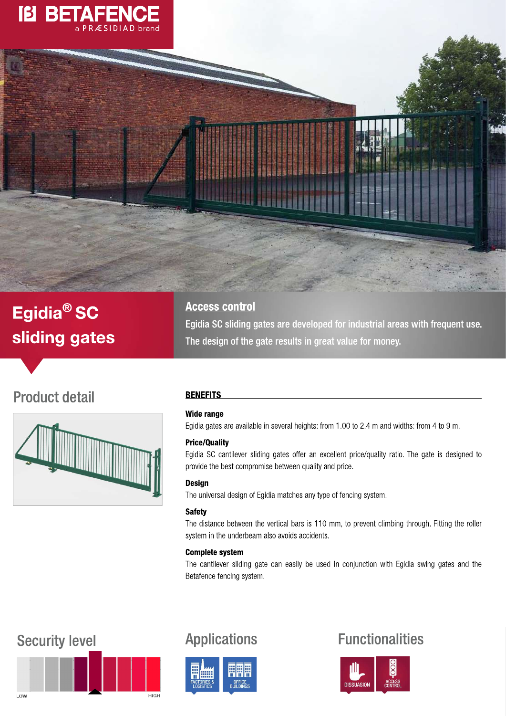



# Egidia<sup>®</sup> SC sliding gates

## **Access control**

Egidia SC sliding gates are developed for industrial areas with frequent use. The design of the gate results in great value for money.

## **Product detail**



## **BENEFITS**

## **Wide range**

Egidia gates are available in several heights: from 1.00 to 2.4 m and widths: from 4 to 9 m.

## **Price/Quality**

Egidia SC cantilever sliding gates offer an excellent price/quality ratio. The gate is designed to provide the best compromise between quality and price.

## **Design**

The universal design of Egidia matches any type of fencing system.

## **Safety**

The distance between the vertical bars is 110 mm, to prevent climbing through. Fitting the roller system in the underbeam also avoids accidents.

## **Complete system**

The cantilever sliding gate can easily be used in conjunction with Egidia swing gates and the Betafence fencing system.

## **Security level**



## **Applications**



## **Functionalities**

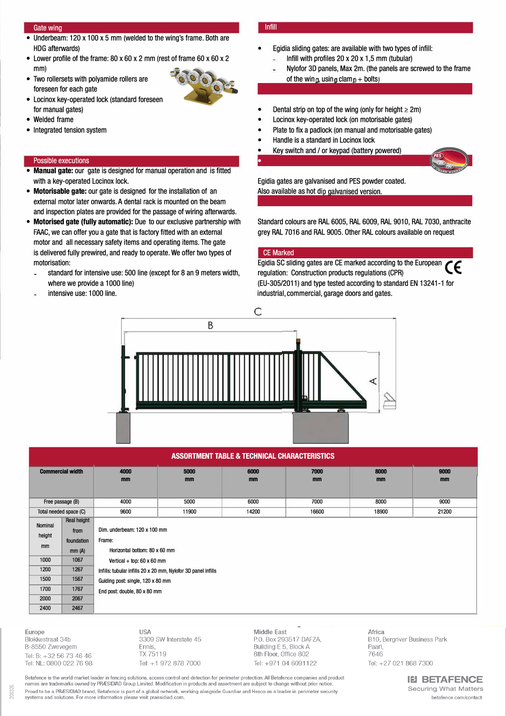#### Gate wing

- Underbeam: 120 x 100 x 5 mm (welded to the wing's frame. Both are HDG afterwards)
- Lower profile of the frame: 80 x 60 x 2 mm (rest of frame 60 x 60 x 2 mm)
- Two rollersets with polyamide rollers are foreseen for each gate



- Locinox key-operated Iock (standard foreseen for manual gates)
- Welded frame
- Integrated tension system

#### Possible executions

- **Manual gate:** our gate is designed for manual operation and is fitted with a key-operated Locinox Iock.
- **Motorisable gate:** our gate is designed for the installation of an external motor later onwards. A dental rack is mounted on the beam and inspection plates are provided for the passage of wiring afterwards.
- **Motorised gate (fully automatic):** Due to our exclusive partnership with FAAC, we can offer you a gate that is factory fitted with an external motor and all necessary safety items and operating items. The gate is delivered fully prewired, and ready to operate. We offer two types of motorisation:
- standard for intensive use: 500 line (except for 8 an 9 meters width, where we provide a 1000 line)
- intensive use: 1000 line.

#### lnfill

- Egidia sliding gates: are available with two types of infill: lnfill with profiles 20 x 20 x 1,5 mm (tubular)
	- Nylofor 3D panels, Max 2m. (the panels are screwed to the frame of the wing, using clamp + bolts)
- Dental strip on top of the wing (only for height  $\geq 2m$ )
- Locinox key-operated Iock (on motorisable gates)
- Plate to fix a padlock (on manual and motorisable gates)
- Handle is a standard in Locinox Iock
- Key switch and / or keypad (battery powered)



Egidia gates are galvanised and PES powder coated. Also available as hot dip galvanised version.

Standard colours are RAL 6005, RAL 6009, RAL 9010, RAL 7030, anthracite grey RAL 7016 and RAL 9005. Other RAL colours available on request

#### CE Marked

Egidia SC sliding gates are CE marked according to the European regulation: Construction products regulations (CPR) (EU-305/2011) and type tested according to standard EN 13241-1 for industrial, commercial, garage doors and gates.



### **ASSORTMENT TABLE & TECHNICAL CHARACTERISTICS**

| <b>Commercial width</b> |                    | 4000<br>mm                                                    | 5000<br>mm | 6000<br>mm | 7000<br>mm | 8000<br>mm | 9000<br>mm |  |
|-------------------------|--------------------|---------------------------------------------------------------|------------|------------|------------|------------|------------|--|
|                         |                    |                                                               |            |            |            |            |            |  |
| Free passage (B)        |                    | 4000                                                          | 5000       | 6000       | 7000       | 8000       | 9000       |  |
| Total needed space (C)  |                    | 9600                                                          | 11900      | 14200      | 16600      | 18900      | 21200      |  |
|                         | <b>Real height</b> |                                                               |            |            |            |            |            |  |
| Nominal<br>height<br>mm | from               | Dim. underbeam: 120 x 100 mm                                  |            |            |            |            |            |  |
|                         | foundation         | Frame:                                                        |            |            |            |            |            |  |
|                         | mm(A)              | Horizontal bottom: 80 x 60 mm                                 |            |            |            |            |            |  |
| 1000                    | 1067               | Vertical + top: $60 \times 60$ mm                             |            |            |            |            |            |  |
| 1200                    | 1267               | Infills: tubular infills 20 x 20 mm, Nylofor 3D panel infills |            |            |            |            |            |  |
| 1500                    | 1567               | Guiding post: single, 120 x 80 mm                             |            |            |            |            |            |  |
| 1700                    | 1767               | End post: double, 80 x 80 mm                                  |            |            |            |            |            |  |
| 2000                    | 2067               |                                                               |            |            |            |            |            |  |
| 2400                    | 2467               |                                                               |            |            |            |            |            |  |
|                         |                    |                                                               |            |            |            |            |            |  |

Europe Blokkestraat 34b B-8550 Zwevegem Tel: B: +32 56 73 46 46 Tel: NL: 0800 022 76 98 **USA** 3309 SW Interstate 45 Ennis TX 75119 Tel: +1 972 878 7000 Middle East P.O. Box 293517 DAFZA,<br>Building E 5, Block A<br>8th Floor, Office 802 Tel: +971 04 6091122

Africa B10, Bergriver Business Park Paarl. 7646 Tel: +27 021 868 7300

Betafence is the world market leader in fencing solutions, access control and detection for perimeter protection. All Betafence companies and product names are trademarks owned by PRÆSIDIAD Group Limited. Modification in products and assortment are subject to change without prior notice Proud to be a PRÆSIDIAD brand, Betafence is part of a global network, working alongside Guardiar and Hesco as a leader in perimeter security<br>systems and solutions. For more information please visit praesidiad.com.

**IEI BETAFENCE Securing What Matters** betafence.com/contact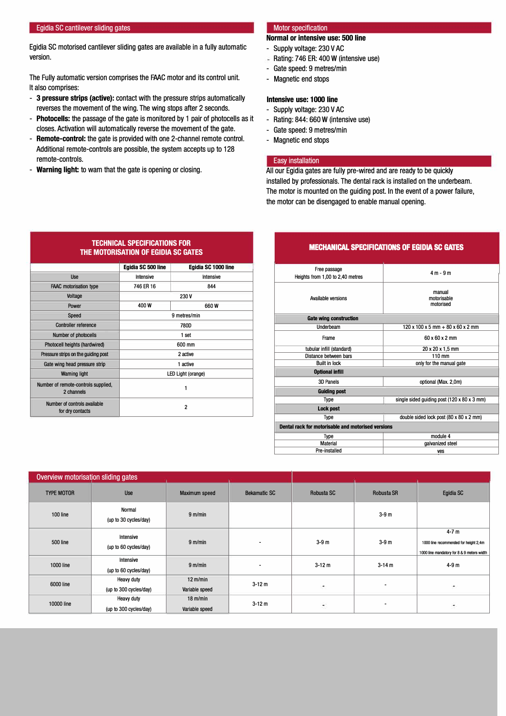#### Egidia SC cantilever sliding gates

Egidia SC motorised cantilever sliding gates are available in a fully automatic version.

The Fully automatic version comprises the FAAC motor and its control unit. lt also comprises:

- **3 pressure strips (active):** contact with the pressure strips automatically reverses the movement of the wing. The wing stops after 2 seconds.
- **Photocells:** the passage of the gate is monitored by 1 pair of photocells as it closes. Activation will automatically reverse the movement of the gate.
- **Remote-control:** the gate is provided with one 2-channel remote contrai. Additional remote-controls are possible, the system accepts up to 128 remote-controls.
- **Warning light:** to warn that the gate is opening or closing.

#### Motor specification

#### **Normal or intensive use: 500 line**

- Supply voltage: 230 V AC
- $-$  Rating: 746 ER: 400 W (intensive use)
- Gate speed: 9 metres/min
- Magnetic end stops

### **Intensive use: 1000 line**

- Supply voltage: 230 V AC
- Rating: 844: 660 W (intensive use)
- Gate speed: 9 metres/min
- Magnetic end stops

#### Easy installation

Ali our Egidia gates are fully pre-wired and are ready to be quickly installed by professionals. The dental rack is installed on the underbeam. The motor is mounted on the guiding post. ln the event of a power failure, the motor can be disengaged to enable manual opening.

| Free passage<br>Heights from 1,00 to 2,40 metres   | $4 m - 9 m$                                                     |  |  |  |
|----------------------------------------------------|-----------------------------------------------------------------|--|--|--|
| <b>Available versions</b>                          | manual<br>motorisable<br>motorised                              |  |  |  |
| <b>Gate wing construction</b>                      |                                                                 |  |  |  |
| Underbeam                                          | $120 \times 100 \times 5$ mm $+ 80 \times 60 \times 2$ mm       |  |  |  |
| Frame                                              | $60 \times 60 \times 2$ mm                                      |  |  |  |
| tubular infill (standard)                          | 20 x 20 x 1,5 mm                                                |  |  |  |
| Distance between bars                              | $110 \text{ mm}$                                                |  |  |  |
| <b>Built in lock</b>                               | only for the manual gate                                        |  |  |  |
| <b>Optional infill</b>                             |                                                                 |  |  |  |
| 3D Panels                                          | optional (Max. 2,0m)                                            |  |  |  |
| <b>Guiding post</b>                                |                                                                 |  |  |  |
| Type                                               | single sided guiding post $(120 \times 80 \times 3 \text{ mm})$ |  |  |  |
| <b>Lock post</b>                                   |                                                                 |  |  |  |
| Type                                               | double sided lock post (80 x 80 x 2 mm)                         |  |  |  |
| Dental rack for motorisable and motorised versions |                                                                 |  |  |  |
| Type                                               | module 4                                                        |  |  |  |
| <b>Material</b>                                    | galvanized steel                                                |  |  |  |
| Pre-installed                                      | ves                                                             |  |  |  |

| Overview motorisation sliding gates |                                             |                                      |                     |            |                |                                                                                               |
|-------------------------------------|---------------------------------------------|--------------------------------------|---------------------|------------|----------------|-----------------------------------------------------------------------------------------------|
| <b>TYPE MOTOR</b>                   | <b>Use</b>                                  | Maximum speed                        | <b>Bekamatic SC</b> | Robusta SC | Robusta SR     | Egidia SC                                                                                     |
| 100 line                            | Normal<br>(up to 30 cycles/day)             | 9 <sub>m/min</sub>                   |                     |            | $3-9m$         |                                                                                               |
| 500 line                            | Intensive<br>(up to 60 cycles/day)          | 9 <sub>m/min</sub>                   | -                   | $3-9m$     | $3-9m$         | $4-7m$<br>1000 line recommended for height 2,4m<br>1000 line mandatory for 8 & 9 meters width |
| 1000 line                           | Intensive<br>(up to 60 cycles/day)          | 9 <sub>m/min</sub>                   | -                   | $3 - 12m$  | $3 - 14 m$     | $4-9m$                                                                                        |
| 6000 line                           | <b>Heavy duty</b><br>(up to 300 cycles/day) | $12 \text{ m/min}$<br>Variable speed | $3 - 12m$           | Ø.         | $\blacksquare$ | ٠                                                                                             |
| 10000 line                          | <b>Heavy duty</b><br>(up to 300 cycles/day) | $18 \text{ m/min}$<br>Variable speed | $3 - 12m$           | G.         |                | ř.                                                                                            |

#### **TECHNICAL SPECIFICATIONS FOR THE MOTORISATION OF EGIDIA SC GATES**

|                                                   | Egidia SC 500 line | Egidia SC 1000 line |  |  |  |
|---------------------------------------------------|--------------------|---------------------|--|--|--|
| <b>Use</b>                                        | Intensive          | Intensive           |  |  |  |
| <b>FAAC</b> motorisation type                     | 746 ER 16          | 844                 |  |  |  |
| Voltage                                           | 230 V              |                     |  |  |  |
| Power                                             | 400 W              | 660 W               |  |  |  |
| Speed                                             | 9 metres/min       |                     |  |  |  |
| <b>Controller reference</b>                       | 780D               |                     |  |  |  |
| Number of photocells                              | 1 set              |                     |  |  |  |
| Photocell heights (hardwired)                     | 600 mm             |                     |  |  |  |
| Pressure strips on the guiding post               | 2 active           |                     |  |  |  |
| Gate wing head pressure strip                     | 1 active           |                     |  |  |  |
| <b>Waming light</b>                               | LED Light (orange) |                     |  |  |  |
| Number of remote-controls supplied,<br>2 channels | 1                  |                     |  |  |  |
| Number of controls available<br>for dry contacts  | $\overline{2}$     |                     |  |  |  |

### **MECHANICAL SPECIFICATIONS OF EGIDIA SC GATES**